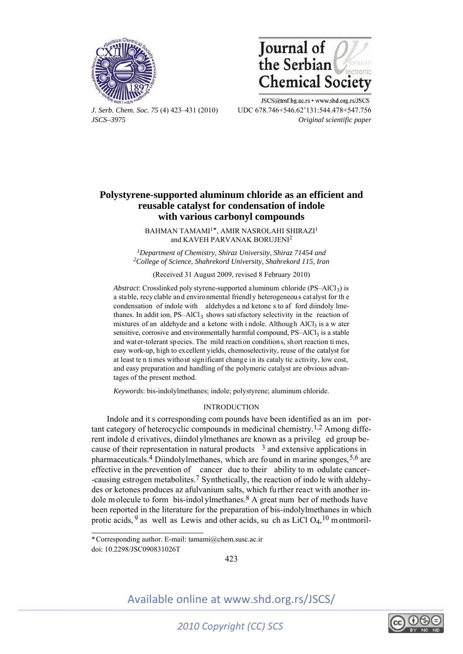



JSCS@tmf.bg.ac.rs • www.shd.org.rs/JSCS *J. Serb. Chem. Soc. 75* (4) 423–431 (2010) UDC 678.746+546.62'131:544.478+547.756 *JSCS–3975 Original scientific paper* 

### **Polystyrene-supported aluminum chloride as an efficient and reusable catalyst for condensation of indole with various carbonyl compounds**

BAHMAN TAMAMI<sup>1\*</sup>, AMIR NASROLAHI SHIRAZI<sup>1</sup> and KAVEH PARVANAK BORUJENI<sup>2</sup>

*1Department of Chemistry, Shiraz University, Shiraz 71454 and 2College of Science, Shahrekord University, Shahrekord 115, Iran* 

(Received 31 August 2009, revised 8 February 2010)

*Abstract*: Crosslinked poly styrene-supported aluminum chloride  $(PS-AICI<sub>3</sub>)$  is a stable, recyclable and environmental friendly heterogeneous catalyst for th e condensation of indole with aldehydes a nd ketone s to af ford diindoly lmethanes. In addit ion,  $PS-AlCl<sub>3</sub>$  shows satisfactory selectivity in the reaction of mixtures of an aldehyde and a ketone with i ndole. Although  $AICI<sub>3</sub>$  is a w ater sensitive, corrosive and environmentally harmful compound,  $PS-AICI<sub>3</sub>$  is a stable and water-tolerant species. The mild reaction conditions, short reaction ti mes, easy work-up, high to excellent yields, chemoselectivity, reuse of the catalyst for at least te n times without significant change in its cataly tic activity, low cost, and easy preparation and handling of the polymeric catalyst are obvious advantages of the present method.

*Keywords*: bis-indolylmethanes; indole; polystyrene; aluminum chloride.

### INTRODUCTION

Indole and it s corresponding com pounds have been identified as an im portant category of heterocyclic compounds in medicinal chemistry.1,2 Among different indole d erivatives, diindolylmethanes are known as a privileg ed group because of their representation in natural products  $\frac{3}{3}$  and extensive applications in pharmaceuticals.<sup>4</sup> Diindolylmethanes, which are found in marine sponges,  $5,6$  are effective in the prevention of cancer due to their ability to m odulate cancer- -causing estrogen metabolites.7 Synthetically, the reaction of indo le with aldehydes or ketones produces az afulvanium salts, which fu rther react with another indole m olecule to form bis-indol ylmethanes.<sup>8</sup> A great num ber of methods have been reported in the literature for the preparation of bis-indolylmethanes in which protic acids, <sup>9</sup> as well as Lewis and other acids, su ch as LiCl  $O_4$ , <sup>10</sup> m ontmoril-

í

423



doi: 10.2298/JSC090831026T \* Corresponding author. E-mail: tamami@chem.susc.ac.ir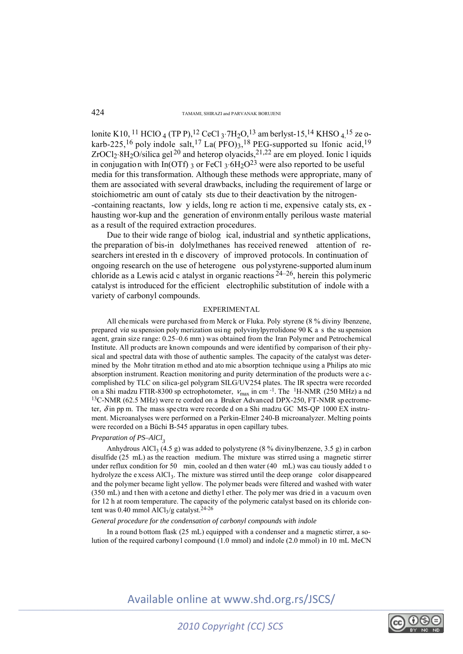lonite K10, <sup>11</sup> HClO <sub>4</sub> (TP P),<sup>12</sup> CeCl <sub>3</sub>⋅7H<sub>2</sub>O,<sup>13</sup> am berlyst-15,<sup>14</sup> KHSO <sub>4</sub>,<sup>15</sup> ze okarb-225,<sup>16</sup> poly indole salt,<sup>17</sup> La( PFO)<sub>3</sub>,<sup>18</sup> PEG-supported su 1fonic acid,<sup>19</sup>  $ZrOCl<sub>2</sub>·8H<sub>2</sub>O/silica gel<sup>20</sup> and heterop of <sub>2</sub>·3<sub>2</sub> are em ploved. Ionic 1 iquids$ in conjugation with In(OTf) 3 or FeCl  $3.6H_2O^{23}$  were also reported to be useful media for this transformation. Although these methods were appropriate, many of them are associated with several drawbacks, including the requirement of large or stoichiometric am ount of cataly sts due to their deactivation by the nitrogen- -containing reactants, low y ields, long re action ti me, expensive cataly sts, ex hausting wor-kup and the generation of environm entally perilous waste material as a result of the required extraction procedures.

Due to their wide range of biolog ical, industrial and synthetic applications, the preparation of bis-in dolylmethanes has received renewed attention of researchers int erested in th e discovery of improved protocols. In continuation of ongoing research on the use of heterogene ous polystyrene-supported aluminum chloride as a Lewis acid c atalyst in organic reactions 24–26, herein this polymeric catalyst is introduced for the efficient electrophilic substitution of indole with a variety of carbonyl compounds.

#### EXPERIMENTAL

All chemicals were purchased from Merck or Fluka. Poly styrene (8 % diviny lbenzene, prepared *via* su spension poly merization usi ng polyvinylpyrrolidone 90 K a s the su spension agent, grain size range: 0.25–0.6 mm) was obtained from the Iran Polymer and Petrochemical Institute. All products are known compounds and were identified by comparison of their physical and spectral data with those of authentic samples. The capacity of the catalyst was determined by the Mohr titration m ethod and ato mic absorption technique using a Philips ato mic absorption instrument. Reaction monitoring and purity determination of the products were a ccomplished by TLC on silica-gel polygram SILG/UV254 plates. The IR spectra were recorded on a Shi madzu FTIR-8300 sp ectrophotometer,  $V_{\text{max}}$  in cm<sup>-1</sup>. The <sup>1</sup>H-NMR (250 MHz) a nd <sup>13</sup>C-NMR (62.5 MHz) were re corded on a Bruker Advanced DPX-250, FT-NMR spectrometer,  $\delta$  in pp m. The mass spectra were recorded on a Shi madzu GC MS-QP 1000 EX instrument. Microanalyses were performed on a Perkin-Elmer 240-B microanalyzer. Melting points were recorded on a Büchi B-545 apparatus in open capillary tubes.

#### *Preparation of PS–AlCl<sub>2</sub>*

Anhydrous AlCl<sub>3</sub> (4.5 g) was added to polystyrene (8 % divinylbenzene, 3.5 g) in carbon disulfide (25 mL) as the reaction medium. The mixture was stirred using a magnetic stirrer under reflux condition for 50 min, cooled an d then water (40 mL) was cau tiously added t o hydrolyze the e xcess AlCl<sub>3</sub>. The mixture was stirred until the deep orange color disappeared and the polymer became light yellow. The polymer beads were filtered and washed with water (350 mL) and t hen with a cetone and diethy l ether. The poly mer was drie d in a vacuum oven for 12 h at room temperature. The capacity of the polymeric catalyst based on its chloride content was 0.40 mmol AlCl<sub>3</sub>/g catalyst.<sup>24-26</sup>

#### *General procedure for the condensation of carbonyl compounds with indole*

In a round bottom flask (25 mL) equipped with a condenser and a magnetic stirrer, a solution of the required carbonyl compound (1.0 mmol) and indole (2.0 mmol) in 10 mL MeCN

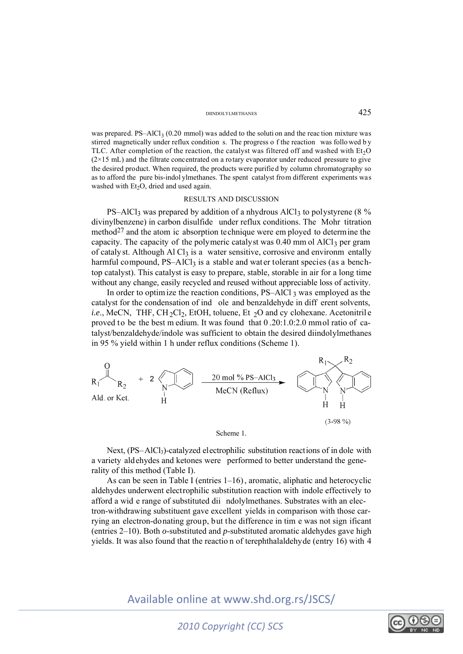#### DIINDOLYLMETHANES 425

was prepared. PS–AlCl<sub>3</sub> (0.20 mmol) was added to the soluti on and the reac tion mixture was stirred magnetically under reflux condition s. The progress o f the reaction was follo wed b y TLC. After completion of the reaction, the catalyst was filtered off and washed with  $Et<sub>2</sub>O$  $(2\times15 \text{ mL})$  and the filtrate concentrated on a rotary evaporator under reduced pressure to give the desired product. When required, the products were purified by column chromatography so as to afford the pure bis-indol ylmethanes. The spent catalyst from different experiments was washed with  $Et<sub>2</sub>O$ , dried and used again.

#### RESULTS AND DISCUSSION

PS–AlCl<sub>3</sub> was prepared by addition of a nhydrous AlCl<sub>3</sub> to polystyrene (8 % divinylbenzene) in carbon disulfide under reflux conditions. The Mohr titration method<sup>27</sup> and the atom ic absorption technique were em ployed to determine the capacity. The capacity of the polymeric catalyst was  $0.40$  mm ol AlCl<sub>3</sub> per gram of catalyst. Although Al  $Cl_3$  is a water sensitive, corrosive and environm entally harmful compound,  $PS-AlCl<sub>3</sub>$  is a stable and water tolerant species (as a benchtop catalyst). This catalyst is easy to prepare, stable, storable in air for a long time without any change, easily recycled and reused without appreciable loss of activity.

In order to optimize the reaction conditions,  $PS-AlCl_3$  was employed as the catalyst for the condensation of ind ole and benzaldehyde in diff erent solvents, *i.e.*, MeCN, THF, CH<sub>2</sub>Cl<sub>2</sub>, EtOH, toluene, Et <sub>2</sub>O and cy clohexane. Acetonitril e proved to be the best m edium. It was found that 0 .20:1.0:2.0 mmol ratio of catalyst/benzaldehyde/indole was sufficient to obtain the desired diindolylmethanes in 95 % yield within 1 h under reflux conditions (Scheme 1).



Next, (PS–AlCl<sub>3</sub>)-catalyzed electrophilic substitution reactions of in dole with a variety aldehydes and ketones were performed to better understand the generality of this method (Table I).

As can be seen in Table I (entries  $1-16$ ), aromatic, aliphatic and heterocyclic aldehydes underwent electrophilic substitution reaction with indole effectively to afford a wid e range of substituted dii ndolylmethanes. Substrates with an electron-withdrawing substituent gave excellent yields in comparison with those carrying an electron-donating group, but the difference in tim e was not sign ificant (entries 2–10). Both *o*-substituted and *p*-substituted aromatic aldehydes gave high yields. It was also found that the reactio n of terephthalaldehyde (entry 16) with 4

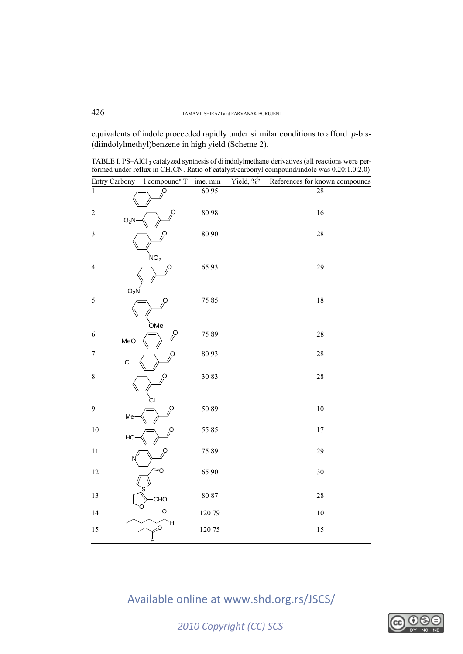equivalents of indole proceeded rapidly under si milar conditions to afford *p*-bis- (diindolylmethyl)benzene in high yield (Scheme 2).

TABLE I. PS-AlCl<sub>3</sub> catalyzed synthesis of di indolylmethane derivatives (all reactions were performed under reflux in CH3CN. Ratio of catalyst/carbonyl compound/indole was 0.20:1.0:2.0)

|                          | Entry Carbony    | l compound <sup>a</sup> T        | ime, min | Yield, % <sup>b</sup> | References for known compounds |
|--------------------------|------------------|----------------------------------|----------|-----------------------|--------------------------------|
| $\mathbf{1}$             |                  | $\mathcal{S}$                    | 60 95    |                       | 28                             |
| $\sqrt{2}$               | O <sub>2</sub> N | $\lambda$                        | 8098     |                       | 16                             |
| $\mathfrak{Z}$           |                  | $\mathcal{S}$<br>NO <sub>2</sub> | 80 90    |                       | $28\,$                         |
| $\overline{\mathcal{L}}$ | $O_2N$           | $\beta$                          | 65 93    |                       | 29                             |
| 5                        |                  | Ó<br><b>OMe</b>                  | 75 85    |                       | $18\,$                         |
| 6                        | MeO              | $\mathcal{S}$                    | 75 89    |                       | $28\,$                         |
| $\boldsymbol{7}$         | CI               | $\beta$                          | 80 93    |                       | $28\,$                         |
| $\,8\,$                  |                  | $\beta$<br>СI                    | 3083     |                       | 28                             |
| $\boldsymbol{9}$         | Me               | $\beta$                          | 5089     |                       | $10\,$                         |
| $10\,$                   | HO               | O                                | 55 85    |                       | $17\,$                         |
| $1\,1$                   |                  | Ģ                                | 7589     |                       | 29                             |
| 12                       |                  | O                                | 65 90    |                       | $30\,$                         |
| 13                       |                  | CHO                              | 80 87    |                       | $28\,$                         |
| 14                       |                  | ဝူ<br>н                          | 12079    |                       | $10\,$                         |
| 15                       |                  | $\sim$<br>Ĥ                      | 12075    |                       | 15                             |

Available online at www.shd.org.rs/JSCS/

*2010 Copyright (CC) SCS*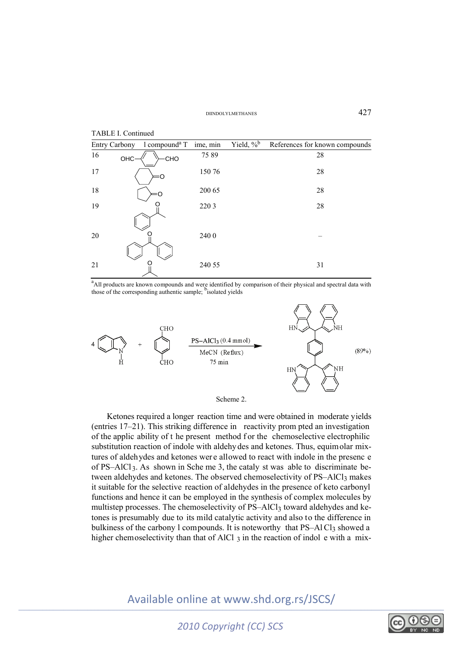

<sup>a</sup> All products are known compounds and were identified by comparison of their physical and spectral data with those of the corresponding authentic sample; bisolated yields



Ketones required a longer reaction time and were obtained in moderate yields (entries 17–21). This striking difference in reactivity prom pted an investigation of the applic ability of t he present method f or the chemoselective electrophilic substitution reaction of indole with aldehydes and ketones. Thus, equimolar mixtures of aldehydes and ketones wer e allowed to react with indole in the presenc e of PS–AlCl<sub>3</sub>. As shown in Sche me 3, the cataly st was able to discriminate between aldehydes and ketones. The observed chemoselectivity of PS-AlCl<sub>3</sub> makes it suitable for the selective reaction of aldehydes in the presence of keto carbonyl functions and hence it can be employed in the synthesis of complex molecules by multistep processes. The chemoselectivity of PS–AlCl<sub>3</sub> toward aldehydes and ketones is presumably due to its mild catalytic activity and also to the difference in bulkiness of the carbony  $l$  compounds. It is noteworthy that  $PS-AICl<sub>3</sub>$  showed a

Available online at www.shd.org.rs/JSCS/

higher chemoselectivity than that of AlCl  $_3$  in the reaction of indol e with a mix-



*2010 Copyright (CC) SCS*

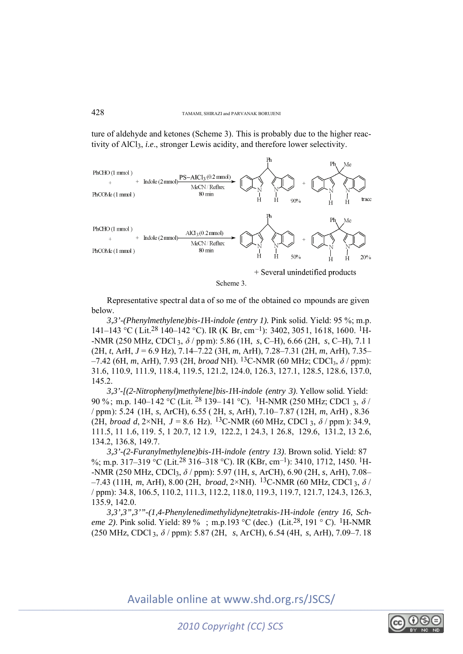ture of aldehyde and ketones (Scheme 3). This is probably due to the higher reactivity of AlCl3, *i.e*., stronger Lewis acidity, and therefore lower selectivity.



+ Several unindetified products

Scheme 3.

Representative spectr al dat a of so me of the obtained co mpounds are given below.

*3,3'-(Phenylmethylene)bis-1*H*-indole (entry 1).* Pink solid. Yield: 95 %; m.p. 141–143 °C ( Lit.28 140–142 °C). IR (K Br, cm–1): 3402, 3051, 1618, 1600. 1H- -NMR (250 MHz, CDCl 3, *δ* / pp m): 5.86 (1H, *s*, C–H), 6.66 (2H, *s*, C–H), 7.1 1 (2H, *t*, ArH, *J* = 6.9 Hz), 7.14–7.22 (3H, *m*, ArH), 7.28–7.31 (2H, *m*, ArH), 7.35– –7.42 (6H, *m*, ArH), 7.93 (2H, *broad* NH). 13C-NMR (60 MHz; CDCl3, *δ* / ppm): 31.6, 110.9, 111.9, 118.4, 119.5, 121.2, 124.0, 126.3, 127.1, 128.5, 128.6, 137.0, 145.2.

*3,3'-[(2-Nitrophenyl)methylene]bis-1*H*-indole (entry 3)*. Yellow solid. Yield: 90 %; m.p. 140–142 °C (Lit. 28 139–141 °C). 1H-NMR (250 MHz; CDCl 3, *δ* / / ppm): 5.24 (1H, *s*, ArCH), 6.55 ( 2H, *s*, ArH), 7.10– 7.87 (12H, *m*, ArH) , 8.36 (2H, *broad d*, 2×NH,  $J = 8.6$  Hz). <sup>13</sup>C-NMR (60 MHz, CDCl 3,  $\delta$  / ppm ): 34.9, 111.5, 11 1.6, 119. 5, 1 20.7, 12 1.9, 122.2, 1 24.3, 1 26.8, 129.6, 131.2, 13 2.6, 134.2, 136.8, 149.7.

*3,3'-(2-Furanylmethylene)bis-1*H*-indole (entry 13)*. Brown solid. Yield: 87 %; m.p. 317-319 °C (Lit.<sup>28</sup> 316-318 °C). IR (KBr, cm<sup>-1</sup>): 3410, 1712, 1450. <sup>1</sup>H--NMR (250 MHz, CDCl3, *δ* / ppm): 5.97 (1H, *s*, ArCH), 6.90 (2H, *s*, ArH), 7.08–  $-7.43$  (11H, *m*, ArH), 8.00 (2H, *broad*, 2×NH). <sup>13</sup>C-NMR (60 MHz, CDCl<sub>3</sub>,  $\delta$  / / ppm): 34.8, 106.5, 110.2, 111.3, 112.2, 118.0, 119.3, 119.7, 121.7, 124.3, 126.3, 135.9, 142.0.

*3,3',3",3'"-(1,4-Phenylenedimethylidyne)tetrakis-1*H*-indole (entry 16, Scheme 2*). Pink solid. Yield: 89 %; m.p.193 °C (dec.) (Lit.<sup>28</sup>, 191 ° C). <sup>1</sup>H-NMR (250 MHz, CDCl 3, *δ* / ppm): 5.87 (2H, *s*, ArCH), 6.54 (4H, *s*, ArH), 7.09–7. 18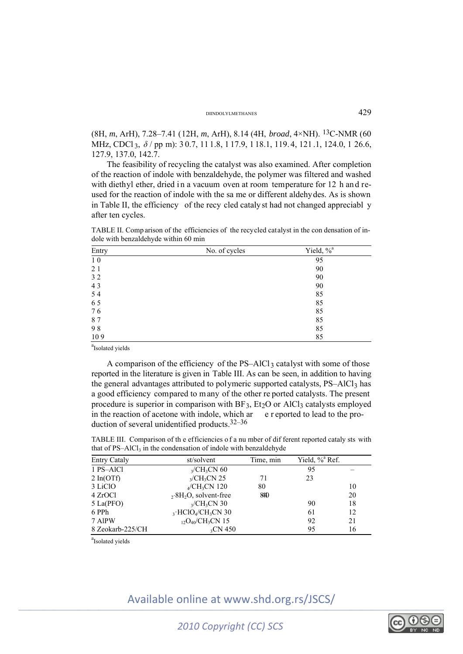#### DIINDOLYLMETHANES 429

(8H, *m*, ArH), 7.28–7.41 (12H, *m*, ArH), 8.14 (4H, *broad*, 4×NH). 13C-NMR (60 MHz, CDCl 3, *δ* / pp m): 3 0.7, 11 1.8, 1 17.9, 1 18.1, 119. 4, 121 .1, 124.0, 1 26.6, 127.9, 137.0, 142.7.

The feasibility of recycling the catalyst was also examined. After completion of the reaction of indole with benzaldehyde, the polymer was filtered and washed with diethyl ether, dried in a vacuum oven at room temperature for 12 h and reused for the reaction of indole with the sa me or different aldehydes. As is shown in Table II, the efficiency of the recy cled catalyst had not changed appreciabl y after ten cycles.

TABLE II. Comp arison of the efficiencies of the recycled catalyst in the con densation of indole with benzaldehyde within 60 min

| Entry | No. of cycles | Yield, % <sup>a</sup> |
|-------|---------------|-----------------------|
| 10    |               | 95                    |
| 21    |               | 90                    |
| 32    |               | 90                    |
| 43    |               | 90                    |
| 54    |               | 85                    |
| 65    |               | 85                    |
| 76    |               | 85                    |
| 87    |               | 85                    |
| 98    |               | 85                    |
| 109   |               | 85                    |

<sup>a</sup>Isolated yields

A comparison of the efficiency of the  $PS-AIC1_3$  catalyst with some of those reported in the literature is given in Table III. As can be seen, in addition to having the general advantages attributed to polymeric supported catalysts, PS–AlCl<sub>3</sub> has a good efficiency compared to m any of the other re ported catalysts. The present procedure is superior in comparison with  $BF_3$ ,  $Et_2O$  or  $AICI_3$  catalysts employed in the reaction of acetone with indole, which  $ar$  e r eported to lead to the production of several unidentified products.32–36

TABLE III. Comparison of th e efficiencies o f a nu mber of dif ferent reported cataly sts with that of  $PS-AlCl<sub>3</sub>$  in the condensation of indole with benzaldehyde

| <b>Entry Cataly</b> | st/solvent                                     | Time, min | Yield, % <sup>a</sup> Ref. |    |
|---------------------|------------------------------------------------|-----------|----------------------------|----|
| 1 PS-AlCl           | $\alpha$ /CH <sub>3</sub> CN 60                |           | 95                         |    |
| $2 \ln(OTf)$        | $\gamma$ /CH <sub>3</sub> CN 25                | 71        | 23                         |    |
| 3 LiClO             | $_{4}/CH_{3}CN$ 120                            | 80        |                            | 10 |
| 4 ZrOCl             | $2.8H_2O$ , solvent-free                       | 840       |                            | 20 |
| $5$ La(PFO)         | $\gamma$ /CH <sub>3</sub> CN 30                |           | 90                         | 18 |
| 6 PPh               | $_3$ ·HClO <sub>4</sub> /CH <sub>3</sub> CN 30 |           | 61                         | 12 |
| 7 AlPW              | $_{12}O_{40}/CH_3CN$ 15                        |           | 92                         | 21 |
| 8 Zeokarb-225/CH    | $_{3}CN$ 450                                   |           | 95                         | 16 |

<sup>a</sup>Isolated yields

\_\_\_\_\_\_\_\_\_\_\_\_\_\_\_\_\_\_\_\_\_\_\_\_\_\_\_\_\_\_\_\_\_\_\_\_\_\_\_\_\_\_\_\_\_\_\_\_\_\_\_\_\_\_\_\_\_\_\_\_\_\_\_\_\_\_\_\_\_\_\_\_\_\_\_\_\_\_\_\_\_\_\_\_\_\_\_\_\_\_\_\_\_\_\_\_\_\_\_\_\_\_\_\_\_\_\_\_\_\_\_\_\_\_\_\_\_\_\_\_\_\_\_ Available online at www.shd.org.rs/JSCS/



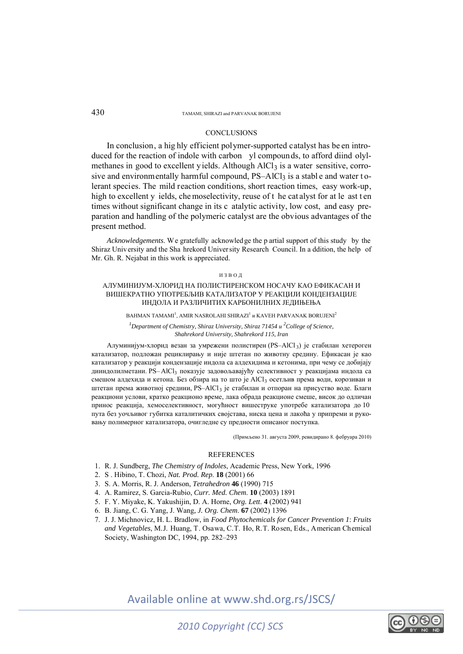#### 430 TAMAMI, SHIRAZI and PARVANAK BORUJENI

#### **CONCLUSIONS**

In conclusion, a hig hly efficient polymer-supported catalyst has be en introduced for the reaction of indole with carbon yl compounds, to afford diind olylmethanes in good to excellent yields. Although AlCl<sub>3</sub> is a water sensitive, corrosive and environmentally harmful compound,  $PS-AlCl<sub>3</sub>$  is a stable and water tolerant species. The mild reaction conditions, short reaction times, easy work-up, high to excellent y ields, che moselectivity, reuse of t he cat alyst for at le ast ten times without significant change in its c atalytic activity, low cost, and easy preparation and handling of the polymeric catalyst are the obvious advantages of the present method.

*Acknowledgements*. We gratefully acknowledge the p artial support of this study by the Shiraz University and the Sha hrekord Univer sity Research Council. In a ddition, the help of Mr. Gh. R. Nejabat in this work is appreciated.

#### ИЗВОД

#### АЛУМИНИЈУМ-ХЛОРИД НА ПОЛИСТИРЕНСКОМ НОСАЧУ КАО ЕФИКАСАН И ВИШЕКРАТНО УПОТРЕБЉИВ КАТАЛИЗАТОР У РЕАКЦИЈИ КОНДЕНЗАЦИЈЕ ИНДОЛА И РАЗЛИЧИТИХ КАРБОНИЛНИХ ЈЕДИЊЕЊА

BAHMAN TAMAMI $^{\rm l}$ , AMIR NASROLAHI SHIRAZI $^{\rm l}$  и KAVEH PARVANAK BORUJENI $^{\rm 2}$ 

*<sup>1</sup>* Department of Chemistry, Shiraz University, Shiraz 71454 *u*<sup>2</sup> College of Science, *Shahrekord University, Shahrekord 115, Iran* 

Алуминијум-хлорид везан за умрежени полистирен (PS–AlCl 3) је стабилан хетероген катализатор, подложан рециклирању и није штетан по животну средину. Ефикасан је као катализатор у реакцији кондензације индола са алдехидима и кетонима, при чему се добијају дииндолилметани. PS– AlCl3 показује задовољавајућу селективност у реакцијама индола са смешом алдехида и кетона. Без обзира на то што је AlCl3 осетљив према води, корозиван и штетан према животној средини, PS-AlCl<sub>3</sub> је стабилан и отпоран на присуство воде. Благи реакциони услови, кратко реакционо време, лака обрада реакционе смеше, висок до одличан принос реакција, хемоселективност, могућност вишеструке употребе катализатора до 10 пута без уочљивог губитка каталитичких својстава, ниска цена и лакоћа у припреми и руковању полимерног катализатора, очигледне су предности описаног поступка.

(Примљено 31. августа 2009, ревидирано 8. фебруара 2010)

#### REFERENCES

- 1. R. J. Sundberg, *The Chemistry of Indoles*, Academic Press, New York, 1996
- 2. S . Hibino, T. Chozi, *Nat. Prod. Rep*. **18** (2001) 66
- 3. S. A. Morris, R. J. Anderson, *Tetrahedron* **46** (1990) 715
- 4. A. Ramirez, S. Garcia-Rubio, *Curr. Med. Chem*. **10** (2003) 1891
- 5. F. Y. Miyake, K. Yakushijin, D. A. Horne, *Org. Lett*. **4** (2002) 941
- 6. B. Jiang, C. G. Yang, J. Wang*, J. Org. Chem*. **67** (2002) 1396
- 7. J. J. Michnovicz, H. L. Bradlow, in *Food Phytochemicals for Cancer Prevention 1*: *Fruits and Vegetables*, M.J. Huang, T. Osawa, C.T. Ho, R.T. Rosen, Eds., American Chemical Society, Washington DC, 1994, pp. 282–293